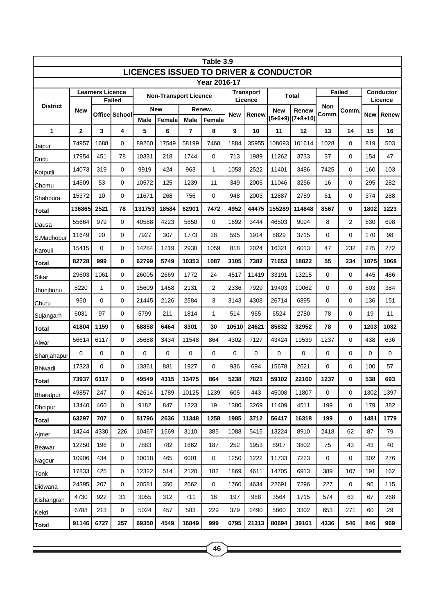| Table 3.9                                        |                |               |                |                              |             |             |                             |            |              |                     |               |              |                      |            |       |
|--------------------------------------------------|----------------|---------------|----------------|------------------------------|-------------|-------------|-----------------------------|------------|--------------|---------------------|---------------|--------------|----------------------|------------|-------|
| <b>LICENCES ISSUED TO DRIVER &amp; CONDUCTOR</b> |                |               |                |                              |             |             |                             |            |              |                     |               |              |                      |            |       |
| Year 2016-17<br><b>Learners Licence</b>          |                |               |                |                              |             |             |                             |            |              |                     |               |              |                      |            |       |
| <b>District</b>                                  |                | <b>Failed</b> |                | <b>Non-Transport Licence</b> |             |             | <b>Transport</b><br>Licence |            | <b>Total</b> |                     | <b>Failed</b> |              | Conductor<br>Licence |            |       |
|                                                  | <b>New</b>     |               | Officel School | <b>New</b>                   |             | Renew.      |                             | <b>New</b> | Renew        | Renew<br><b>New</b> |               | Non<br>Comm. | <b>Comm</b>          | <b>New</b> | Renew |
|                                                  |                |               |                | <b>Male</b>                  | Female      | <b>Male</b> | Female                      |            |              | $(5+6+9)$           | $(7+8+10)$    |              |                      |            |       |
| 1                                                | $\overline{2}$ | 3             | 4              | 5                            | 6           | 7           | 8                           | 9          | 10           | 11                  | 12            | 13           | 14                   | 15         | 16    |
| Jaipur                                           | 74957          | 1688          | 0              | 89260                        | 17549       | 58199       | 7460                        | 1884       | 35955        | 108693              | 101614        | 1028         | $\mathbf 0$          | 819        | 503   |
| Dudu                                             | 17954          | 451           | 78             | 10331                        | 218         | 1744        | 0                           | 713        | 1989         | 11262               | 3733          | 37           | 0                    | 154        | 47    |
| Kotputli                                         | 14073          | 319           | 0              | 9919                         | 424         | 963         | 1                           | 1058       | 2522         | 11401               | 3486          | 7425         | 0                    | 160        | 103   |
| Chomu                                            | 14509          | 53            | 0              | 10572                        | 125         | 1239        | 11                          | 349        | 2006         | 11046               | 3256          | 16           | 0                    | 295        | 282   |
| Shahpura                                         | 15372          | 10            | 0              | 11671                        | 268         | 756         | 0                           | 948        | 2003         | 12887               | 2759          | 61           | 0                    | 374        | 288   |
| Total                                            | 136865         | 2521          | 78             | 131753                       | 18584       | 62901       | 7472                        | 4952       | 44475        | 155289              | 114848        | 8567         | 0                    | 1802       | 1223  |
| Dausa                                            | 55664          | 979           | 0              | 40588                        | 4223        | 5650        | 0                           | 1692       | 3444         | 46503               | 9094          | 8            | 2                    | 630        | 698   |
| S.Madhopur                                       | 11649          | 20            | 0              | 7927                         | 307         | 1773        | 28                          | 595        | 1914         | 8829                | 3715          | 0            | 0                    | 170        | 98    |
| Karouli                                          | 15415          | $\mathbf 0$   | 0              | 14284                        | 1219        | 2930        | 1059                        | 818        | 2024         | 16321               | 6013          | 47           | 232                  | 275        | 272   |
| Total                                            | 82728          | 999           | 0              | 62799                        | 5749        | 10353       | 1087                        | 3105       | 7382         | 71653               | 18822         | 55           | 234                  | 1075       | 1068  |
| Sikar                                            | 29603          | 1061          | 0              | 26005                        | 2669        | 1772        | 24                          | 4517       | 11419        | 33191               | 13215         | 0            | 0                    | 445        | 486   |
| Jhunjhunu                                        | 5220           | 1             | 0              | 15609                        | 1458        | 2131        | $\overline{2}$              | 2336       | 7929         | 19403               | 10062         | 0            | 0                    | 603        | 384   |
| Churu                                            | 950            | $\mathbf 0$   | 0              | 21445                        | 2126        | 2584        | 3                           | 3143       | 4308         | 26714               | 6895          | 0            | 0                    | 136        | 151   |
| Sujangarh                                        | 6031           | 97            | 0              | 5799                         | 211         | 1814        | 1                           | 514        | 965          | 6524                | 2780          | 78           | 0                    | 19         | 11    |
| Total                                            | 41804          | 1159          | 0              | 68858                        | 6464        | 8301        | 30                          | 10510      | 24621        | 85832               | 32952         | 78           | 0                    | 1203       | 1032  |
| Alwar                                            | 56614          | 6117          | 0              | 35688                        | 3434        | 11548       | 864                         | 4302       | 7127         | 43424               | 19539         | 1237         | $\mathbf 0$          | 438        | 636   |
| Shanjahapur                                      | $\Omega$       | $\mathbf 0$   | 0              | $\mathbf 0$                  | $\mathbf 0$ | 0           | $\mathbf 0$                 | 0          | 0            | 0                   | $\mathbf 0$   | 0            | 0                    | 0          | 0     |
| <b>Bhiwadi</b>                                   | 17323          | $\mathbf 0$   | 0              | 13861                        | 881         | 1927        | 0                           | 936        | 694          | 15678               | 2621          | 0            | 0                    | 100        | 57    |
| Total                                            | 73937          | 6117          | 0              | 49549                        | 4315        | 13475       | 864                         | 5238       | 7821         | 59102               | 22160         | 1237         | 0                    | 538        | 693   |
| Bharatpur                                        | 49857          | 247           | 0              | 42614                        | 1789        | 10125       | 1239                        | 605        | 443          | 45008               | 11807         | 0            | 0                    | 1302       | 1397  |
| <b>Dholpur</b>                                   | 13440          | 460           | 0              | 9182                         | 847         | 1223        | 19                          | 1380       | 3269         | 11409               | 4511          | 199          | 0                    | 179        | 382   |
| <b>Total</b>                                     | 63297          | 707           | 0              | 51796                        | 2636        | 11348       | 1258                        | 1985       | 3712         | 56417               | 16318         | 199          | 0                    | 1481       | 1779  |
| Ajmer                                            | 14244          | 4330          | 226            | 10467                        | 1669        | 3110        | 385                         | 1088       | 5415         | 13224               | 8910          | 2418         | 62                   | 87         | 79    |
| <b>Beawar</b>                                    | 12250          | 196           | 0              | 7883                         | 782         | 1662        | 187                         | 252        | 1953         | 8917                | 3802          | 75           | 43                   | 43         | 40    |
| Nagour                                           | 10906          | 434           | 0              | 10018                        | 465         | 6001        | 0                           | 1250       | 1222         | 11733               | 7223          | $\mathbf 0$  | 0                    | 302        | 276   |
| Tonk                                             | 17833          | 425           | 0              | 12322                        | 514         | 2120        | 182                         | 1869       | 4611         | 14705               | 6913          | 389          | 107                  | 191        | 162   |
| Didwana                                          | 24395          | 207           | 0              | 20581                        | 350         | 2662        | 0                           | 1760       | 4634         | 22691               | 7296          | 227          | 0                    | 96         | 115   |
| Kishangrah                                       | 4730           | 922           | 31             | 3055                         | 312         | 711         | 16                          | 197        | 988          | 3564                | 1715          | 574          | 63                   | 67         | 268   |
| Kekri                                            | 6788           | 213           | 0              | 5024                         | 457         | 583         | 229                         | 379        | 2490         | 5860                | 3302          | 653          | 271                  | 60         | 29    |
| <b>Total</b>                                     | 91146          | 6727          | 257            | 69350                        | 4549        | 16849       | 999                         | 6795       | 21313        | 80694               | 39161         | 4336         | 546                  | 846        | 969   |

<u> 1989 - Johann Stein, marwolaethau a bhann an t-Amhair an t-Amhair an t-Amhair an t-Amhair an t-Amhair an t-A</u>

<u> 1989 - Johann Stein, marwolaethau a bhann an t-Amhair an t-Amhair an t-Amhair an t-Amhair an t-Amhair an t-A</u>